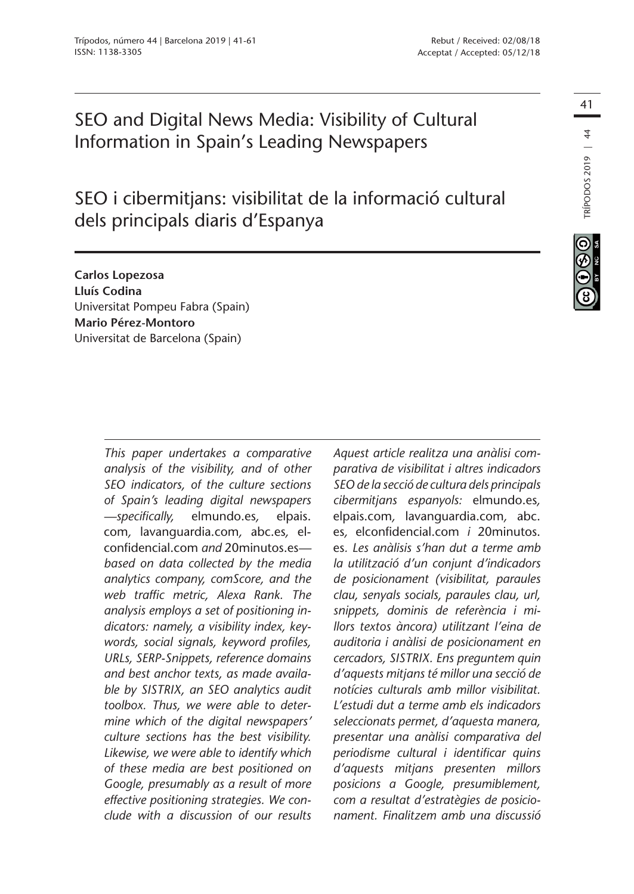# SEO and Digital News Media: Visibility of Cultural Information in Spain's Leading Newspapers

SEO i cibermitjans: visibilitat de la informació cultural dels principals diaris d'Espanya

**Carlos Lopezosa Lluís Codina** Universitat Pompeu Fabra (Spain) **Mario Pérez-Montoro** Universitat de Barcelona (Spain)

> *This paper undertakes a comparative analysis of the visibility, and of other SEO indicators, of the culture sections of Spain's leading digital newspapers —specifically,* elmundo.es*,* elpais. com*,* lavanguardia.com*,* abc.es*,* elconfidencial.com *and* 20minutos.es *based on data collected by the media analytics company, comScore, and the web traffic metric, Alexa Rank. The analysis employs a set of positioning indicators: namely, a visibility index, keywords, social signals, keyword profiles, URLs, SERP-Snippets, reference domains and best anchor texts, as made available by SISTRIX, an SEO analytics audit toolbox. Thus, we were able to determine which of the digital newspapers' culture sections has the best visibility. Likewise, we were able to identify which of these media are best positioned on Google, presumably as a result of more effective positioning strategies. We conclude with a discussion of our results*

*Aquest article realitza una anàlisi comparativa de visibilitat i altres indicadors SEO de la secció de cultura dels principals cibermitjans espanyols:* elmundo.es*,*  elpais.com*,* lavanguardia.com*,* abc. es*,* elconfidencial.com *i* 20minutos. es*. Les anàlisis s'han dut a terme amb la utilització d'un conjunt d'indicadors de posicionament (visibilitat, paraules clau, senyals socials, paraules clau, url, snippets, dominis de referència i millors textos àncora) utilitzant l'eina de auditoria i anàlisi de posicionament en cercadors, SISTRIX. Ens preguntem quin d'aquests mitjans té millor una secció de notícies culturals amb millor visibilitat. L'estudi dut a terme amb els indicadors seleccionats permet, d'aquesta manera, presentar una anàlisi comparativa del periodisme cultural i identificar quins d'aquests mitjans presenten millors posicions a Google, presumiblement, com a resultat d'estratègies de posicionament. Finalitzem amb una discussió*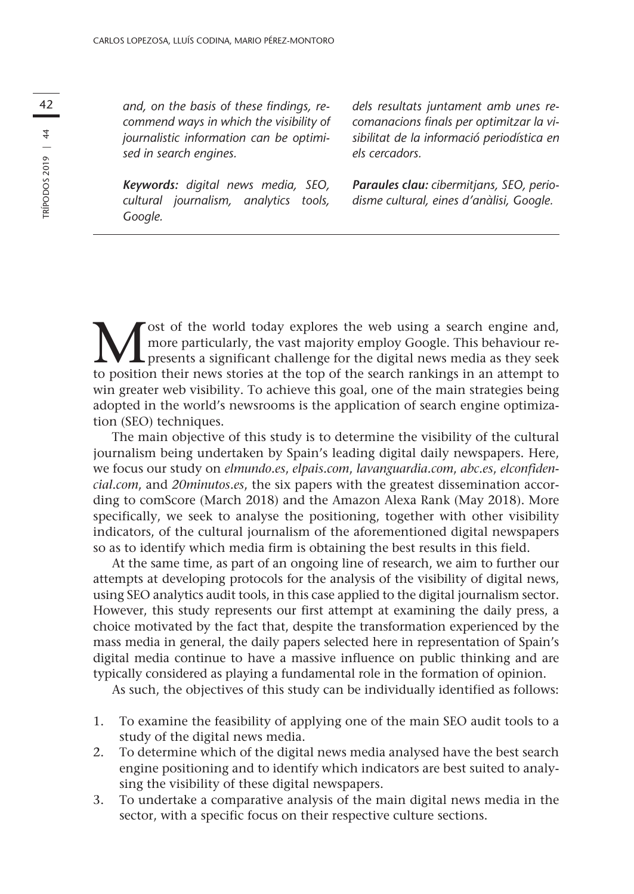*and, on the basis of these findings, recommend ways in which the visibility of journalistic information can be optimised in search engines.*

*Keywords: digital news media, SEO, cultural journalism, analytics tools, Google.*

*dels resultats juntament amb unes recomanacions finals per optimitzar la visibilitat de la informació periodística en els cercadors.*

*Paraules clau: cibermitjans, SEO, periodisme cultural, eines d'anàlisi, Google.*

**M** ost of the world today explores the web using a search engine and, more particularly, the vast majority employ Google. This behaviour represents a significant challenge for the digital news media as they seek to positi more particularly, the vast majority employ Google. This behaviour reto position their news stories at the top of the search rankings in an attempt to win greater web visibility. To achieve this goal, one of the main strategies being adopted in the world's newsrooms is the application of search engine optimization (SEO) techniques.

The main objective of this study is to determine the visibility of the cultural journalism being undertaken by Spain's leading digital daily newspapers. Here, we focus our study on *elmundo.es*, *elpais.com*, *lavanguardia.com*, *abc.es*, *elconfidencial.com*, and *20minutos.es*, the six papers with the greatest dissemination according to comScore (March 2018) and the Amazon Alexa Rank (May 2018). More specifically, we seek to analyse the positioning, together with other visibility indicators, of the cultural journalism of the aforementioned digital newspapers so as to identify which media firm is obtaining the best results in this field.

At the same time, as part of an ongoing line of research, we aim to further our attempts at developing protocols for the analysis of the visibility of digital news, using SEO analytics audit tools, in this case applied to the digital journalism sector. However, this study represents our first attempt at examining the daily press, a choice motivated by the fact that, despite the transformation experienced by the mass media in general, the daily papers selected here in representation of Spain's digital media continue to have a massive influence on public thinking and are typically considered as playing a fundamental role in the formation of opinion.

As such, the objectives of this study can be individually identified as follows:

- 1. To examine the feasibility of applying one of the main SEO audit tools to a study of the digital news media.
- 2. To determine which of the digital news media analysed have the best search engine positioning and to identify which indicators are best suited to analysing the visibility of these digital newspapers.
- 3. To undertake a comparative analysis of the main digital news media in the sector, with a specific focus on their respective culture sections.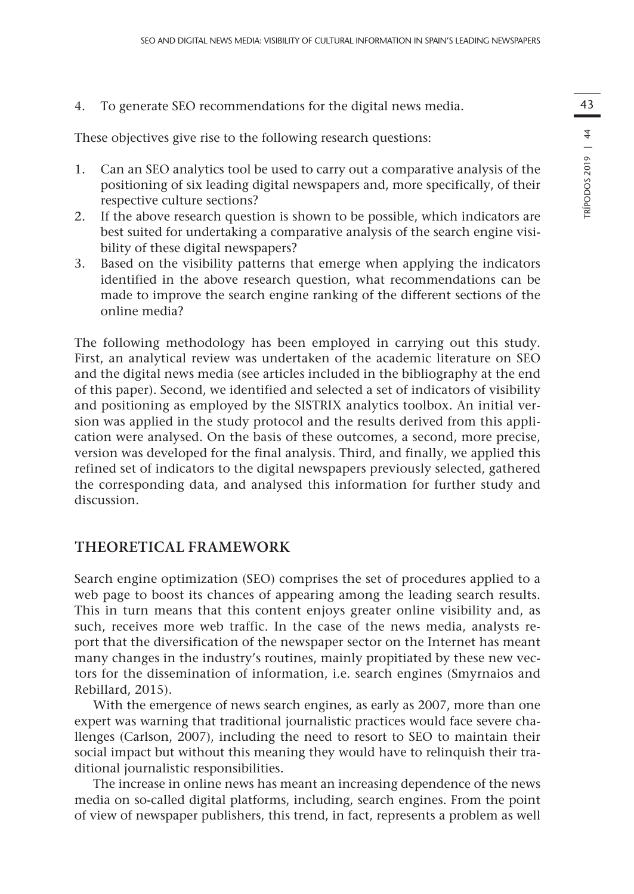4. To generate SEO recommendations for the digital news media.

These objectives give rise to the following research questions:

- 1. Can an SEO analytics tool be used to carry out a comparative analysis of the positioning of six leading digital newspapers and, more specifically, of their respective culture sections?
- 2. If the above research question is shown to be possible, which indicators are best suited for undertaking a comparative analysis of the search engine visibility of these digital newspapers?
- 3. Based on the visibility patterns that emerge when applying the indicators identified in the above research question, what recommendations can be made to improve the search engine ranking of the different sections of the online media?

The following methodology has been employed in carrying out this study. First, an analytical review was undertaken of the academic literature on SEO and the digital news media (see articles included in the bibliography at the end of this paper). Second, we identified and selected a set of indicators of visibility and positioning as employed by the SISTRIX analytics toolbox. An initial version was applied in the study protocol and the results derived from this application were analysed. On the basis of these outcomes, a second, more precise, version was developed for the final analysis. Third, and finally, we applied this refined set of indicators to the digital newspapers previously selected, gathered the corresponding data, and analysed this information for further study and discussion.

# **THEORETICAL FRAMEWORK**

Search engine optimization (SEO) comprises the set of procedures applied to a web page to boost its chances of appearing among the leading search results. This in turn means that this content enjoys greater online visibility and, as such, receives more web traffic. In the case of the news media, analysts report that the diversification of the newspaper sector on the Internet has meant many changes in the industry's routines, mainly propitiated by these new vectors for the dissemination of information, i.e. search engines (Smyrnaios and Rebillard, 2015).

With the emergence of news search engines, as early as 2007, more than one expert was warning that traditional journalistic practices would face severe challenges (Carlson, 2007), including the need to resort to SEO to maintain their social impact but without this meaning they would have to relinquish their traditional journalistic responsibilities.

The increase in online news has meant an increasing dependence of the news media on so-called digital platforms, including, search engines. From the point of view of newspaper publishers, this trend, in fact, represents a problem as well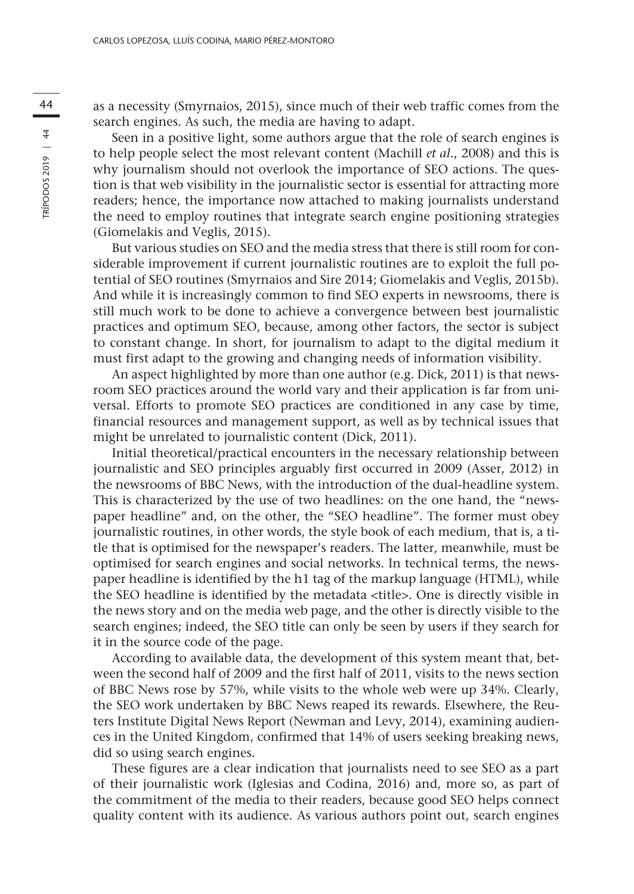search engines. As such, the media are having to adapt.

44 as a necessity (Smyrnaios, 2015), since much of their web traffic comes from the search engines. As such, the media are having to adapt.<br>
5 cen in a positive light, some authors argue that the role of search engines is Seen in a positive light, some authors argue that the role of search engines is to help people select the most relevant content (Machill *et al*., 2008) and this is why journalism should not overlook the importance of SEO actions. The question is that web visibility in the journalistic sector is essential for attracting more readers; hence, the importance now attached to making journalists understand the need to employ routines that integrate search engine positioning strategies (Giomelakis and Veglis, 2015).

> But various studies on SEO and the media stress that there is still room for considerable improvement if current journalistic routines are to exploit the full potential of SEO routines (Smyrnaios and Sire 2014; Giomelakis and Veglis, 2015b). And while it is increasingly common to find SEO experts in newsrooms, there is still much work to be done to achieve a convergence between best journalistic practices and optimum SEO, because, among other factors, the sector is subject to constant change. In short, for journalism to adapt to the digital medium it must first adapt to the growing and changing needs of information visibility.

> An aspect highlighted by more than one author (e.g. Dick, 2011) is that newsroom SEO practices around the world vary and their application is far from universal. Efforts to promote SEO practices are conditioned in any case by time, financial resources and management support, as well as by technical issues that might be unrelated to journalistic content (Dick, 2011).

> Initial theoretical/practical encounters in the necessary relationship between journalistic and SEO principles arguably first occurred in 2009 (Asser, 2012) in the newsrooms of BBC News, with the introduction of the dual-headline system. This is characterized by the use of two headlines: on the one hand, the "newspaper headline" and, on the other, the "SEO headline". The former must obey journalistic routines, in other words, the style book of each medium, that is, a title that is optimised for the newspaper's readers. The latter, meanwhile, must be optimised for search engines and social networks. In technical terms, the newspaper headline is identified by the h1 tag of the markup language (HTML), while the SEO headline is identified by the metadata <title>. One is directly visible in the news story and on the media web page, and the other is directly visible to the search engines; indeed, the SEO title can only be seen by users if they search for it in the source code of the page.

> According to available data, the development of this system meant that, between the second half of 2009 and the first half of 2011, visits to the news section of BBC News rose by 57%, while visits to the whole web were up 34%. Clearly, the SEO work undertaken by BBC News reaped its rewards. Elsewhere, the Reuters Institute Digital News Report (Newman and Levy, 2014), examining audiences in the United Kingdom, confirmed that 14% of users seeking breaking news, did so using search engines.

> These figures are a clear indication that journalists need to see SEO as a part of their journalistic work (Iglesias and Codina, 2016) and, more so, as part of the commitment of the media to their readers, because good SEO helps connect quality content with its audience. As various authors point out, search engines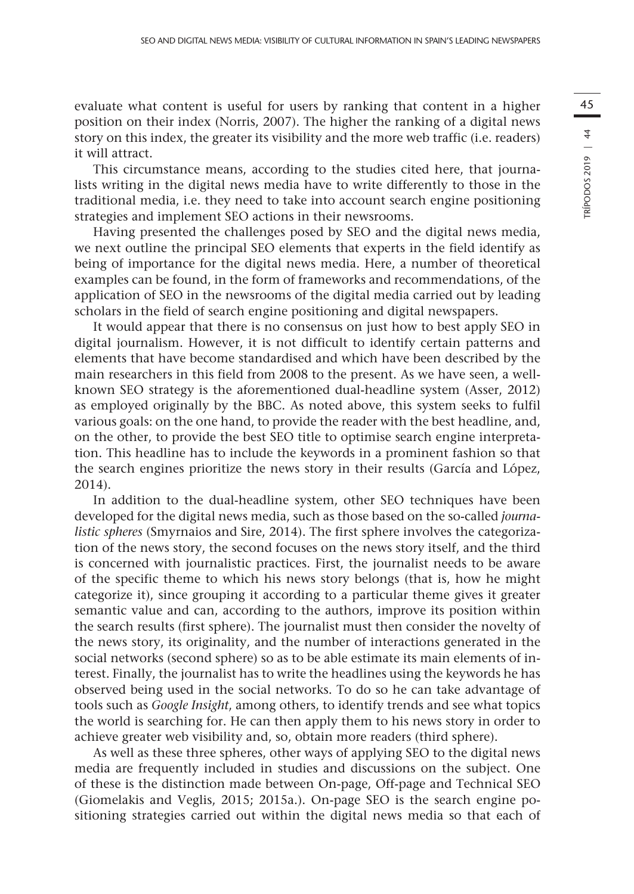evaluate what content is useful for users by ranking that content in a higher position on their index (Norris, 2007). The higher the ranking of a digital news story on this index, the greater its visibility and the more web traffic (i.e. readers) it will attract.

This circumstance means, according to the studies cited here, that journalists writing in the digital news media have to write differently to those in the traditional media, i.e. they need to take into account search engine positioning strategies and implement SEO actions in their newsrooms.

Having presented the challenges posed by SEO and the digital news media, we next outline the principal SEO elements that experts in the field identify as being of importance for the digital news media. Here, a number of theoretical examples can be found, in the form of frameworks and recommendations, of the application of SEO in the newsrooms of the digital media carried out by leading scholars in the field of search engine positioning and digital newspapers.

It would appear that there is no consensus on just how to best apply SEO in digital journalism. However, it is not difficult to identify certain patterns and elements that have become standardised and which have been described by the main researchers in this field from 2008 to the present. As we have seen, a wellknown SEO strategy is the aforementioned dual-headline system (Asser, 2012) as employed originally by the BBC. As noted above, this system seeks to fulfil various goals: on the one hand, to provide the reader with the best headline, and, on the other, to provide the best SEO title to optimise search engine interpretation. This headline has to include the keywords in a prominent fashion so that the search engines prioritize the news story in their results (García and López, 2014).

In addition to the dual-headline system, other SEO techniques have been developed for the digital news media, such as those based on the so-called *journalistic spheres* (Smyrnaios and Sire, 2014). The first sphere involves the categorization of the news story, the second focuses on the news story itself, and the third is concerned with journalistic practices. First, the journalist needs to be aware of the specific theme to which his news story belongs (that is, how he might categorize it), since grouping it according to a particular theme gives it greater semantic value and can, according to the authors, improve its position within the search results (first sphere). The journalist must then consider the novelty of the news story, its originality, and the number of interactions generated in the social networks (second sphere) so as to be able estimate its main elements of interest. Finally, the journalist has to write the headlines using the keywords he has observed being used in the social networks. To do so he can take advantage of tools such as *Google Insight*, among others, to identify trends and see what topics the world is searching for. He can then apply them to his news story in order to achieve greater web visibility and, so, obtain more readers (third sphere).

As well as these three spheres, other ways of applying SEO to the digital news media are frequently included in studies and discussions on the subject. One of these is the distinction made between On-page, Off-page and Technical SEO (Giomelakis and Veglis, 2015; 2015a.). On-page SEO is the search engine positioning strategies carried out within the digital news media so that each of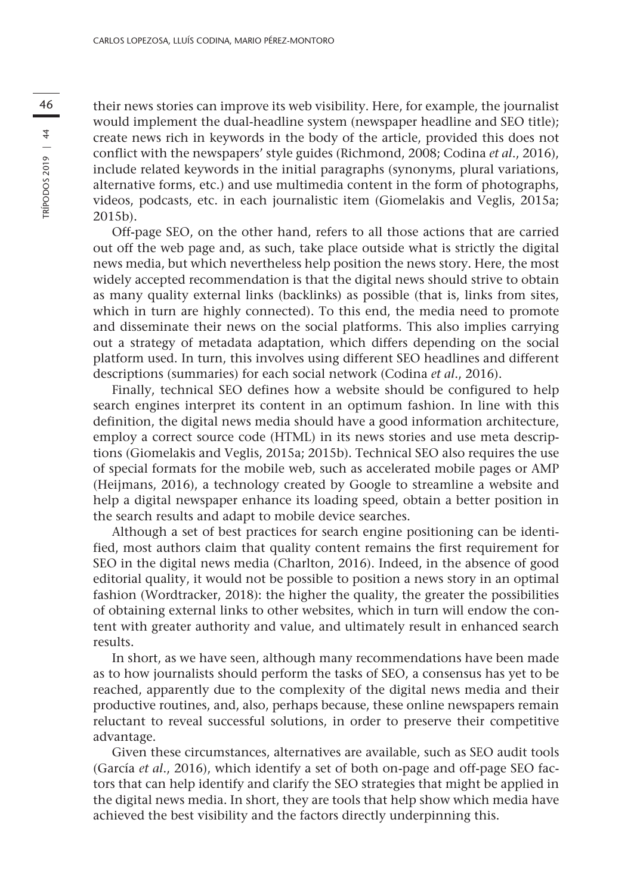46 their news stories can improve its web visibility. Here, for example, the journalist<br>would implement the dual headline system (newspaper headline and SEO title): would implement the dual-headline system (newspaper headline and SEO title); create news rich in keywords in the body of the article, provided this does not conflict with the newspapers' style guides (Richmond, 2008; Codina *et al*., 2016), include related keywords in the initial paragraphs (synonyms, plural variations, alternative forms, etc.) and use multimedia content in the form of photographs, videos, podcasts, etc. in each journalistic item (Giomelakis and Veglis, 2015a; 2015b).

> Off-page SEO, on the other hand, refers to all those actions that are carried out off the web page and, as such, take place outside what is strictly the digital news media, but which nevertheless help position the news story. Here, the most widely accepted recommendation is that the digital news should strive to obtain as many quality external links (backlinks) as possible (that is, links from sites, which in turn are highly connected). To this end, the media need to promote and disseminate their news on the social platforms. This also implies carrying out a strategy of metadata adaptation, which differs depending on the social platform used. In turn, this involves using different SEO headlines and different descriptions (summaries) for each social network (Codina *et al*., 2016).

> Finally, technical SEO defines how a website should be configured to help search engines interpret its content in an optimum fashion. In line with this definition, the digital news media should have a good information architecture, employ a correct source code (HTML) in its news stories and use meta descriptions (Giomelakis and Veglis, 2015a; 2015b). Technical SEO also requires the use of special formats for the mobile web, such as accelerated mobile pages or AMP (Heijmans, 2016), a technology created by Google to streamline a website and help a digital newspaper enhance its loading speed, obtain a better position in the search results and adapt to mobile device searches.

> Although a set of best practices for search engine positioning can be identified, most authors claim that quality content remains the first requirement for SEO in the digital news media (Charlton, 2016). Indeed, in the absence of good editorial quality, it would not be possible to position a news story in an optimal fashion (Wordtracker, 2018): the higher the quality, the greater the possibilities of obtaining external links to other websites, which in turn will endow the content with greater authority and value, and ultimately result in enhanced search results.

> In short, as we have seen, although many recommendations have been made as to how journalists should perform the tasks of SEO, a consensus has yet to be reached, apparently due to the complexity of the digital news media and their productive routines, and, also, perhaps because, these online newspapers remain reluctant to reveal successful solutions, in order to preserve their competitive advantage.

> Given these circumstances, alternatives are available, such as SEO audit tools (García *et al*., 2016), which identify a set of both on-page and off-page SEO factors that can help identify and clarify the SEO strategies that might be applied in the digital news media. In short, they are tools that help show which media have achieved the best visibility and the factors directly underpinning this.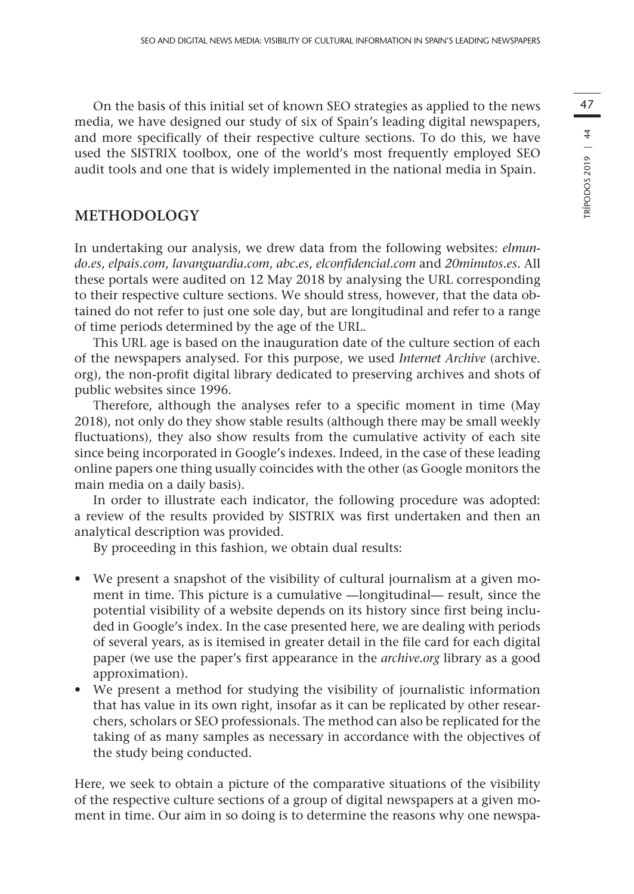On the basis of this initial set of known SEO strategies as applied to the news media, we have designed our study of six of Spain's leading digital newspapers, and more specifically of their respective culture sections. To do this, we have used the SISTRIX toolbox, one of the world's most frequently employed SEO audit tools and one that is widely implemented in the national media in Spain.

## **METHODOLOGY**

In undertaking our analysis, we drew data from the following websites: *elmundo.es*, *elpais.com*, *lavanguardia.com*, *abc.es*, *elconfidencial.com* and *20minutos.es*. All these portals were audited on 12 May 2018 by analysing the URL corresponding to their respective culture sections. We should stress, however, that the data obtained do not refer to just one sole day, but are longitudinal and refer to a range of time periods determined by the age of the URL.

This URL age is based on the inauguration date of the culture section of each of the newspapers analysed. For this purpose, we used *Internet Archive* (archive. org), the non-profit digital library dedicated to preserving archives and shots of public websites since 1996.

Therefore, although the analyses refer to a specific moment in time (May 2018), not only do they show stable results (although there may be small weekly fluctuations), they also show results from the cumulative activity of each site since being incorporated in Google's indexes. Indeed, in the case of these leading online papers one thing usually coincides with the other (as Google monitors the main media on a daily basis).

In order to illustrate each indicator, the following procedure was adopted: a review of the results provided by SISTRIX was first undertaken and then an analytical description was provided.

By proceeding in this fashion, we obtain dual results:

- We present a snapshot of the visibility of cultural journalism at a given moment in time. This picture is a cumulative —longitudinal— result, since the potential visibility of a website depends on its history since first being included in Google's index. In the case presented here, we are dealing with periods of several years, as is itemised in greater detail in the file card for each digital paper (we use the paper's first appearance in the *archive.org* library as a good approximation).
- We present a method for studying the visibility of journalistic information that has value in its own right, insofar as it can be replicated by other researchers, scholars or SEO professionals. The method can also be replicated for the taking of as many samples as necessary in accordance with the objectives of the study being conducted.

Here, we seek to obtain a picture of the comparative situations of the visibility of the respective culture sections of a group of digital newspapers at a given moment in time. Our aim in so doing is to determine the reasons why one newspa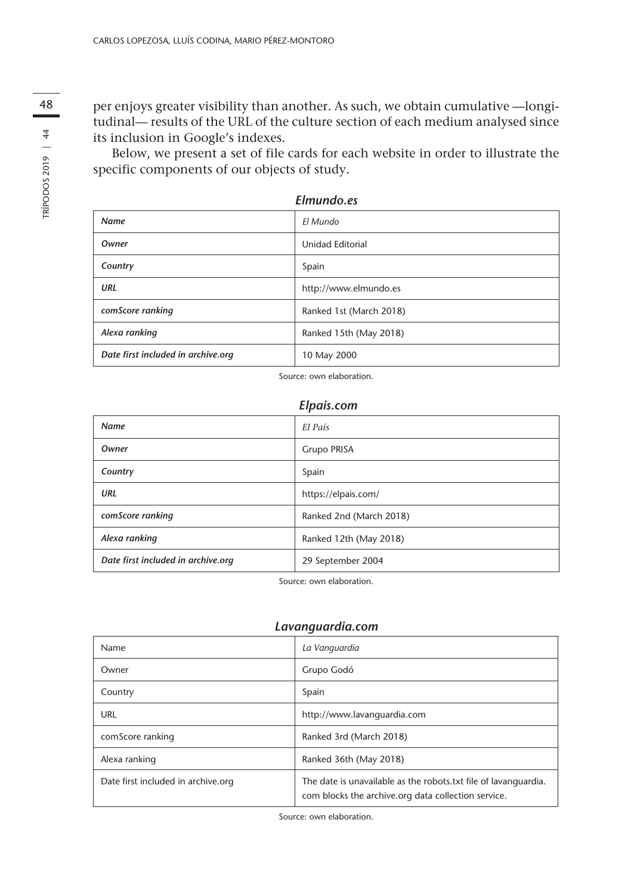48 per enjoys greater visibility than another. As such, we obtain cumulative —longi-<br>tridingly presults of the UPL of the sultime section of each medium analyzed since tudinal— results of the URL of the culture section of each medium analysed since its inclusion in Google's indexes.

> Below, we present a set of file cards for each website in order to illustrate the specific components of our objects of study.

|                                    | Elmundo.es              |
|------------------------------------|-------------------------|
| <b>Name</b>                        | El Mundo                |
| Owner                              | Unidad Editorial        |
| Country                            | Spain                   |
| URL                                | http://www.elmundo.es   |
| comScore ranking                   | Ranked 1st (March 2018) |
| Alexa ranking                      | Ranked 15th (May 2018)  |
| Date first included in archive.org | 10 May 2000             |

Source: own elaboration.

#### *Elpais.com*

| <b>Name</b>                        | El País                 |
|------------------------------------|-------------------------|
| Owner                              | Grupo PRISA             |
| Country                            | Spain                   |
| URL                                | https://elpais.com/     |
| comScore ranking                   | Ranked 2nd (March 2018) |
| Alexa ranking                      | Ranked 12th (May 2018)  |
| Date first included in archive.org | 29 September 2004       |

Source: own elaboration.

#### *Lavanguardia.com*

| Name                               | La Vanguardia                                                                                                          |
|------------------------------------|------------------------------------------------------------------------------------------------------------------------|
| Owner                              | Grupo Godó                                                                                                             |
| Country                            | Spain                                                                                                                  |
| URL                                | http://www.lavanquardia.com                                                                                            |
| comScore ranking                   | Ranked 3rd (March 2018)                                                                                                |
| Alexa ranking                      | Ranked 36th (May 2018)                                                                                                 |
| Date first included in archive.org | The date is unavailable as the robots txt file of lavanguardia.<br>com blocks the archive.org data collection service. |

Source: own elaboration.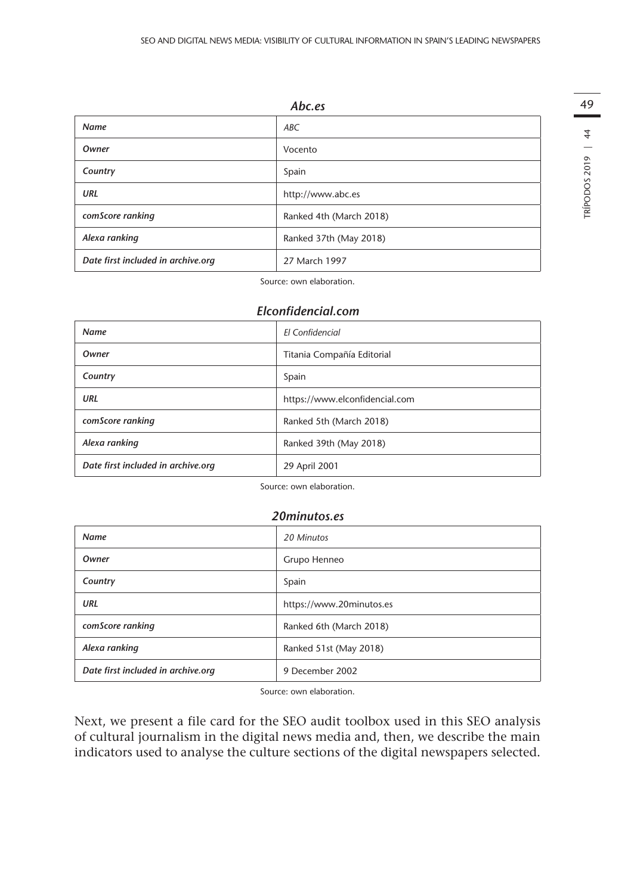|                                    | Abc.es                  |
|------------------------------------|-------------------------|
| <b>Name</b>                        | ABC                     |
| Owner                              | Vocento                 |
| Country                            | Spain                   |
| URL                                | http://www.abc.es       |
| comScore ranking                   | Ranked 4th (March 2018) |
| Alexa ranking                      | Ranked 37th (May 2018)  |
| Date first included in archive.org | 27 March 1997           |

49TRÍPODOS 2019 | 44 TRÍPODOS 2019 | 44

Source: own elaboration.

#### *Elconfidencial.com*

| <b>Name</b>                        | <b>FI</b> Confidencial         |
|------------------------------------|--------------------------------|
| Owner                              | Titania Compañía Editorial     |
| Country                            | Spain                          |
| URL                                | https://www.elconfidencial.com |
| comScore ranking                   | Ranked 5th (March 2018)        |
| Alexa ranking                      | Ranked 39th (May 2018)         |
| Date first included in archive.org | 29 April 2001                  |

Source: own elaboration.

#### *20minutos.es*

| <b>Name</b>                        | 20 Minutos               |
|------------------------------------|--------------------------|
| Owner                              | Grupo Henneo             |
| Country                            | Spain                    |
| URL                                | https://www.20minutos.es |
| comScore ranking                   | Ranked 6th (March 2018)  |
| Alexa ranking                      | Ranked 51st (May 2018)   |
| Date first included in archive.org | 9 December 2002          |

Source: own elaboration.

Next, we present a file card for the SEO audit toolbox used in this SEO analysis of cultural journalism in the digital news media and, then, we describe the main indicators used to analyse the culture sections of the digital newspapers selected.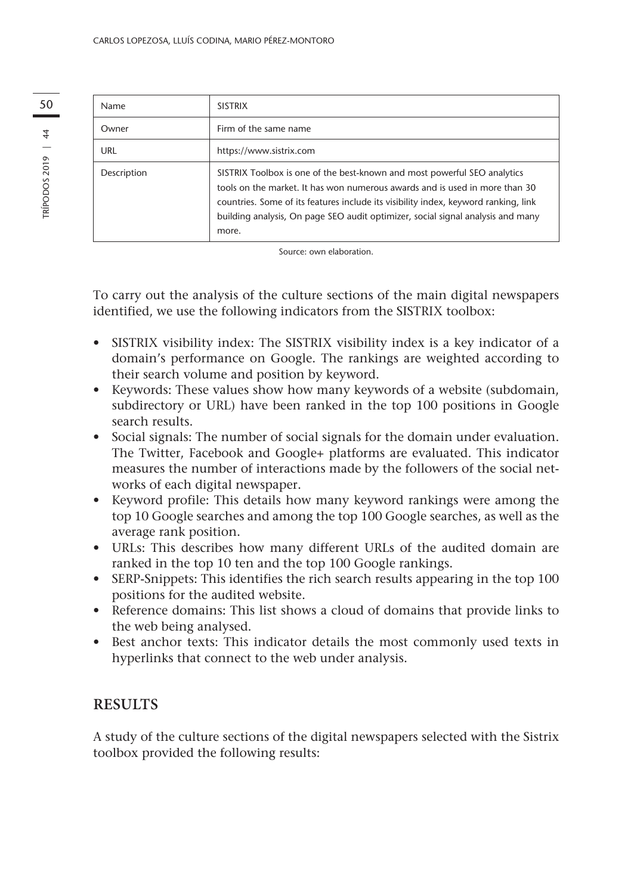| 50               | Name        | <b>SISTRIX</b>                                                                                                                                                                                                                                                                                                                             |
|------------------|-------------|--------------------------------------------------------------------------------------------------------------------------------------------------------------------------------------------------------------------------------------------------------------------------------------------------------------------------------------------|
| $\frac{4}{4}$    | Owner       | Firm of the same name                                                                                                                                                                                                                                                                                                                      |
|                  | URL         | https://www.sistrix.com                                                                                                                                                                                                                                                                                                                    |
| 2019<br>TRÍPODOS | Description | SISTRIX Toolbox is one of the best-known and most powerful SEO analytics<br>tools on the market. It has won numerous awards and is used in more than 30<br>countries. Some of its features include its visibility index, keyword ranking, link<br>building analysis, On page SEO audit optimizer, social signal analysis and many<br>more. |

Source: own elaboration.

To carry out the analysis of the culture sections of the main digital newspapers identified, we use the following indicators from the SISTRIX toolbox:

- • SISTRIX visibility index: The SISTRIX visibility index is a key indicator of a domain's performance on Google. The rankings are weighted according to their search volume and position by keyword.
- • Keywords: These values show how many keywords of a website (subdomain, subdirectory or URL) have been ranked in the top 100 positions in Google search results.
- Social signals: The number of social signals for the domain under evaluation. The Twitter, Facebook and Google+ platforms are evaluated. This indicator measures the number of interactions made by the followers of the social networks of each digital newspaper.
- • Keyword profile: This details how many keyword rankings were among the top 10 Google searches and among the top 100 Google searches, as well as the average rank position.
- • URLs: This describes how many different URLs of the audited domain are ranked in the top 10 ten and the top 100 Google rankings.
- SERP-Snippets: This identifies the rich search results appearing in the top 100 positions for the audited website.
- • Reference domains: This list shows a cloud of domains that provide links to the web being analysed.
- Best anchor texts: This indicator details the most commonly used texts in hyperlinks that connect to the web under analysis.

# **RESULTS**

A study of the culture sections of the digital newspapers selected with the Sistrix toolbox provided the following results: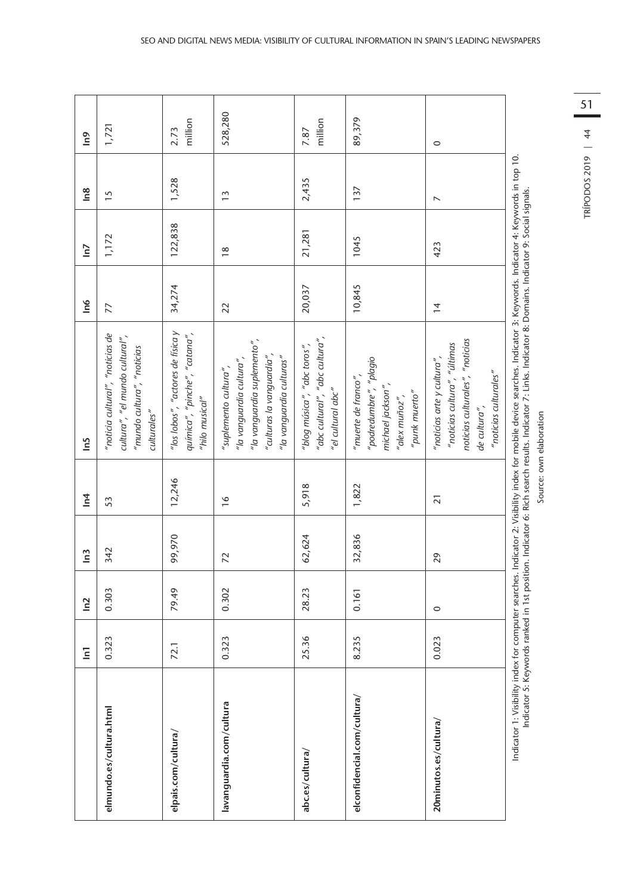|                             | $\overline{a}$ | $\tilde{=}$ | $\tilde{=}$ | $\overline{1}$  | <u>in5</u>                                                                                                                                     | $\frac{1}{2}$ | $\overline{a}$ | $\frac{8}{1}$   | $\epsilon$      |
|-----------------------------|----------------|-------------|-------------|-----------------|------------------------------------------------------------------------------------------------------------------------------------------------|---------------|----------------|-----------------|-----------------|
| elmundo.es/cultura.html     | 0.323          | 0.303       | 342         | 53              | "noticia cultural", "noticias de<br>cultura", "el mundo cultural",<br>"mundo cultura", "noticias<br>culturales"                                | 77            | 1,172          | $\overline{15}$ | 1,721           |
| elpais.com/cultura/         | 72.1           | 79.49       | 99,970      | 12,246          | "los lobos", "actores de física y<br>química", "pinche", "catana",<br>"hilo musical"                                                           | 34,274        | 122,838        | 1,528           | million<br>2.73 |
| avanguardia.com/cultura     | 0.323          | 0.302       | 72          | $\frac{6}{2}$   | "la vanguardia suplemento",<br>"culturas la vanguardia",<br>"la vanguardia culturas"<br>"la vanguardia cultura",<br>"suplemento cultura",      | 22            | $\frac{8}{2}$  | $\frac{3}{2}$   | 528,280         |
| abc.es/cultura/             | 25.36          | 28.23       | 62,624      | 5,918           | "abc cultural", "abc cultura",<br>"blog música", "abc toros",<br>"el cultural abc"                                                             | 20,037        | 21,281         | 2,435           | million<br>7.87 |
| elconfidencial.com/cultura/ | 8.235          | 0.161       | 32,836      | 1,822           | "podredumbre", "plagio<br>"muerte de franco",<br>michael jackson",<br>"punk muerto"<br>"alex muñoz",                                           | 10,845        | 1045           | 137             | 89,379          |
| 20minutos.es/cultura/       | 0.023          | $\circ$     | 29          | $\overline{21}$ | noticias culturales", "noticias<br>"noticias cultura", "últimas<br>"noticias arte y cultura",<br>"noticias culturales"<br>de cultura",         | $\frac{4}{3}$ | 423            | $\overline{ }$  | $\circ$         |
| Indicator 1: Visibility     |                |             |             |                 | index for computer searches. Indicator 2: Visibility index for mobile device searches. Indicator 3: Keywords. Indicator 4: Keywords in top 10. |               |                |                 |                 |

Source: own elaboration Source: own elaboration

Indicator 5: Keywords ranked in 1st position. Indicator 6: Rich search results. Indicator 7: Links. Indicator 8: Domains. Indicator 9: Social signals. Indicator 5: Keywords ranked in 1st position. Indicator 6: Rich search results. Indicator 7: Links. Indicator 8: Domains. Indicator 9: Social signals.

51TRÍPODOS 2019 | 44 TRÍPODOS 2019 | 44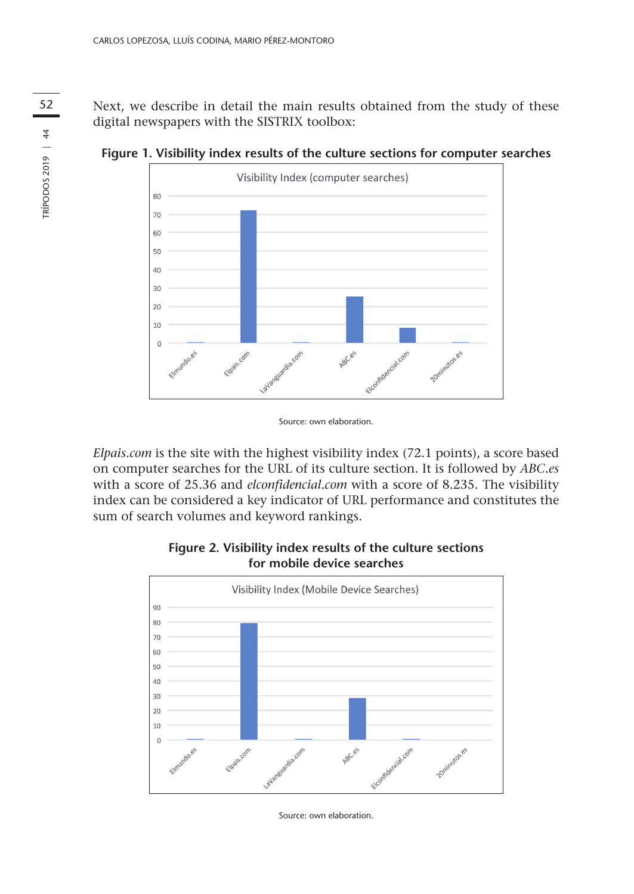52 Next, we describe in detail the main results obtained from the study of these digital newspapers with the SISTRIX toolbox:



**Figure 1. Visibility index results of the culture sections for computer searches**

*Elpais.com* is the site with the highest visibility index (72.1 points), a score based on computer searches for the URL of its culture section. It is followed by *ABC.es* with a score of 25.36 and *elconfidencial.com* with a score of 8.235. The visibility index can be considered a key indicator of URL performance and constitutes the sum of search volumes and keyword rankings.



**Figure 2. Visibility index results of the culture sections for mobile device searches**

Source: own elaboration.

Source: own elaboration.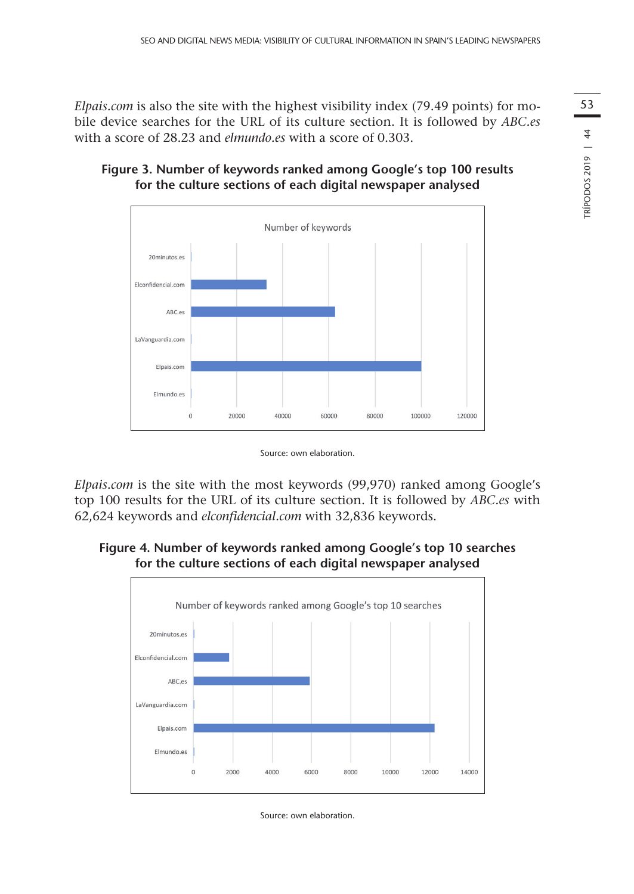*Elpais.com* is also the site with the highest visibility index (79.49 points) for mobile device searches for the URL of its culture section. It is followed by *ABC.es* with a score of 28.23 and *elmundo.es* with a score of 0.303.





Source: own elaboration.

*Elpais.com* is the site with the most keywords (99,970) ranked among Google's top 100 results for the URL of its culture section. It is followed by *ABC.es* with 62,624 keywords and *elconfidencial.com* with 32,836 keywords.

**Figure 4. Number of keywords ranked among Google's top 10 searches for the culture sections of each digital newspaper analysed**



Source: own elaboration.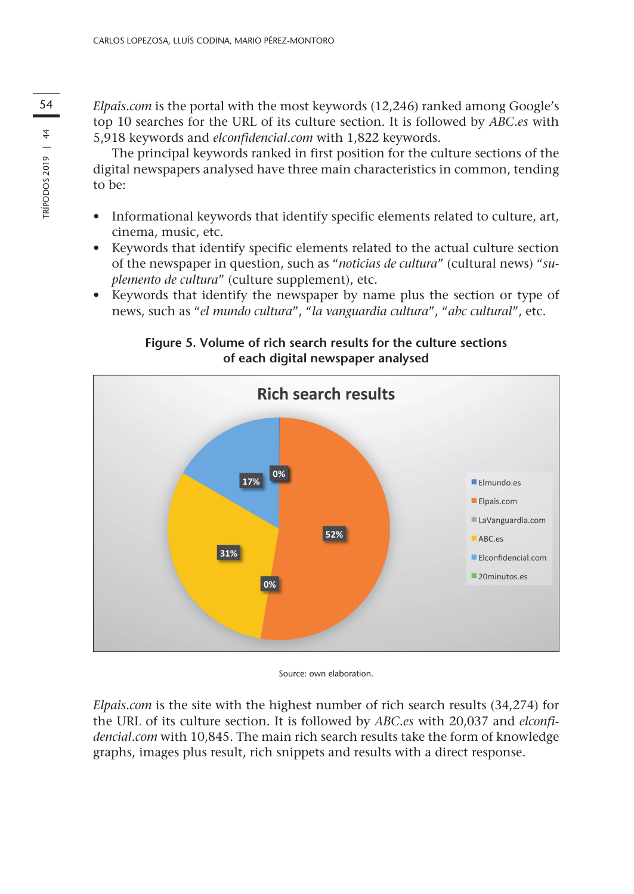54 *Elpais.com* is the portal with the most keywords (12,246) ranked among Google's top 10 searches for the URL of its culture section. It is followed by *ABC.es* with 5,918 keywords and *elconfidencial.com* with 1,822 keywords.

> The principal keywords ranked in first position for the culture sections of the digital newspapers analysed have three main characteristics in common, tending to be:

- • Informational keywords that identify specific elements related to culture, art, cinema, music, etc.
- • Keywords that identify specific elements related to the actual culture section of the newspaper in question, such as "*noticias de cultura*" (cultural news) "*suplemento de cultura*" (culture supplement), etc.
- • Keywords that identify the newspaper by name plus the section or type of news, such as "*el mundo cultura*", "*la vanguardia cultura*", "*abc cultural*", etc.

**Figure 5. Volume of rich search results for the culture sections of each digital newspaper analysed** 



Source: own elaboration.

*Elpais.com* is the site with the highest number of rich search results (34,274) for the URL of its culture section. It is followed by *ABC.es* with 20,037 and *elconfidencial.com* with 10,845. The main rich search results take the form of knowledge graphs, images plus result, rich snippets and results with a direct response.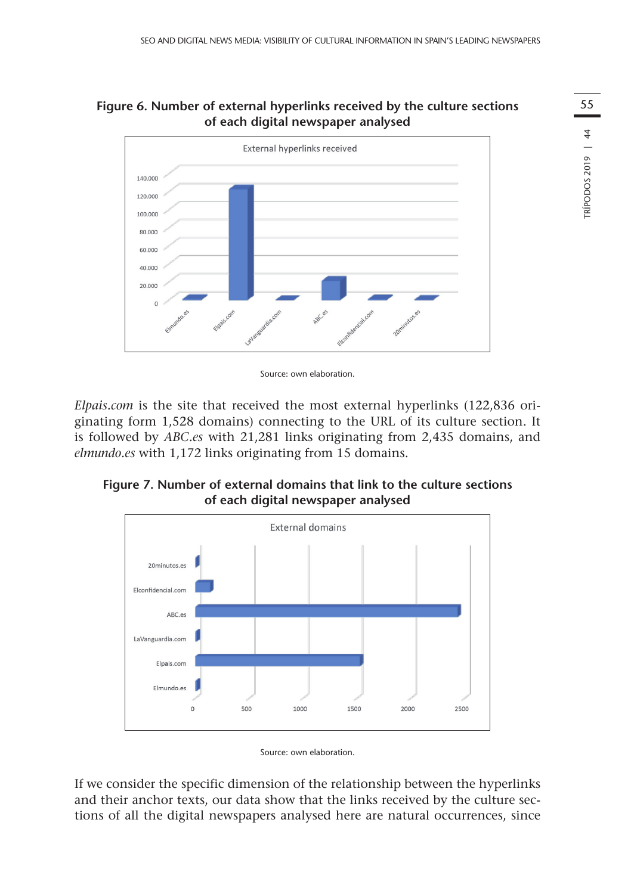## **Figure 6. Number of external hyperlinks received by the culture sections of each digital newspaper analysed**



Source: own elaboration.

*Elpais.com* is the site that received the most external hyperlinks (122,836 originating form 1,528 domains) connecting to the URL of its culture section. It is followed by *ABC.es* with 21,281 links originating from 2,435 domains, and *elmundo.es* with 1,172 links originating from 15 domains.

**Figure 7. Number of external domains that link to the culture sections of each digital newspaper analysed**



Source: own elaboration.

If we consider the specific dimension of the relationship between the hyperlinks and their anchor texts, our data show that the links received by the culture sections of all the digital newspapers analysed here are natural occurrences, since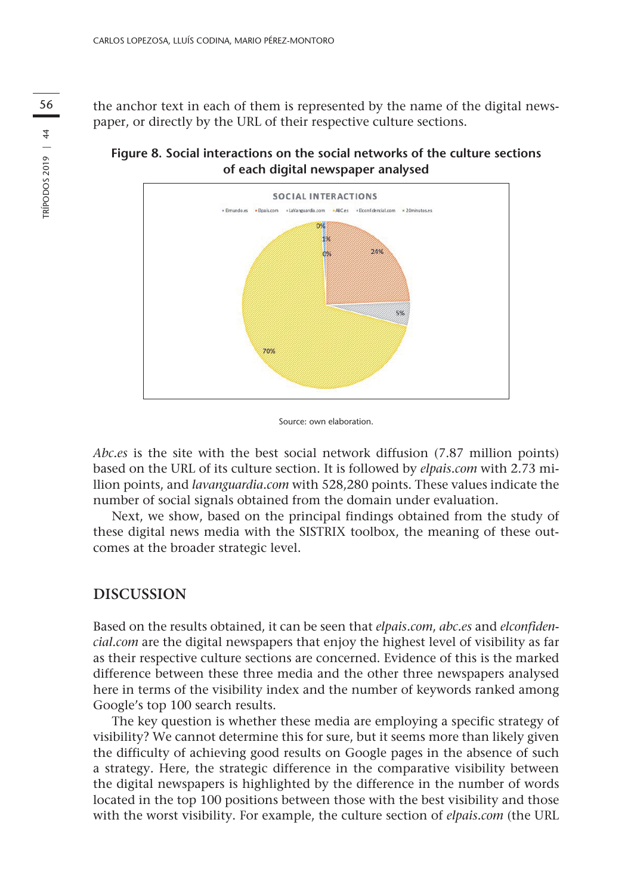56 the anchor text in each of them is represented by the name of the digital newspaper, or directly by the URL of their respective culture sections.





Source: own elaboration.

*Abc.es* is the site with the best social network diffusion (7.87 million points) based on the URL of its culture section. It is followed by *elpais.com* with 2.73 million points, and *lavanguardia.com* with 528,280 points. These values indicate the number of social signals obtained from the domain under evaluation.

Next, we show, based on the principal findings obtained from the study of these digital news media with the SISTRIX toolbox, the meaning of these outcomes at the broader strategic level.

### **DISCUSSION**

Based on the results obtained, it can be seen that *elpais.com*, *abc.es* and *elconfidencial.com* are the digital newspapers that enjoy the highest level of visibility as far as their respective culture sections are concerned. Evidence of this is the marked difference between these three media and the other three newspapers analysed here in terms of the visibility index and the number of keywords ranked among Google's top 100 search results.

The key question is whether these media are employing a specific strategy of visibility? We cannot determine this for sure, but it seems more than likely given the difficulty of achieving good results on Google pages in the absence of such a strategy. Here, the strategic difference in the comparative visibility between the digital newspapers is highlighted by the difference in the number of words located in the top 100 positions between those with the best visibility and those with the worst visibility. For example, the culture section of *elpais.com* (the URL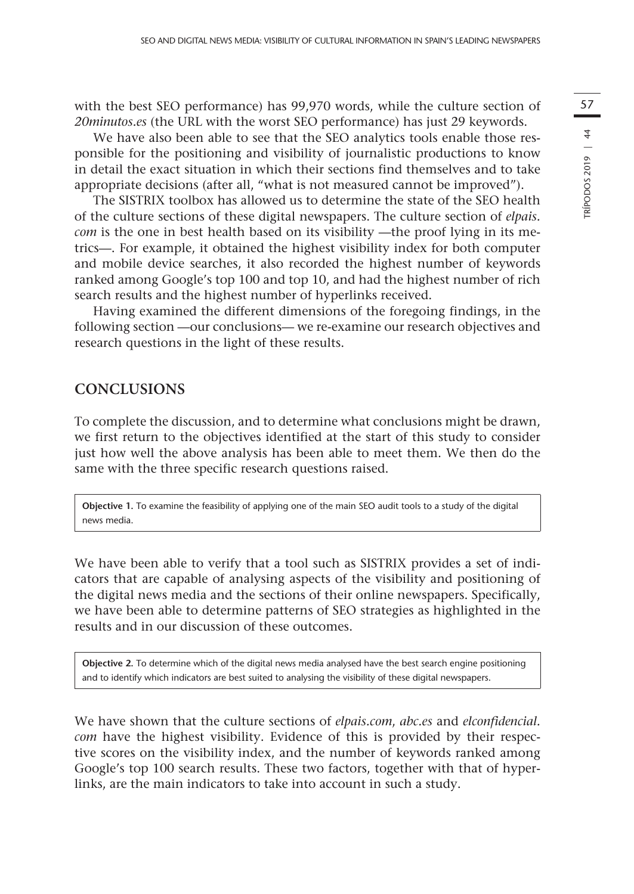with the best SEO performance) has 99,970 words, while the culture section of *20minutos.es* (the URL with the worst SEO performance) has just 29 keywords.

We have also been able to see that the SEO analytics tools enable those responsible for the positioning and visibility of journalistic productions to know in detail the exact situation in which their sections find themselves and to take appropriate decisions (after all, "what is not measured cannot be improved").

The SISTRIX toolbox has allowed us to determine the state of the SEO health of the culture sections of these digital newspapers. The culture section of *elpais. com* is the one in best health based on its visibility —the proof lying in its metrics—. For example, it obtained the highest visibility index for both computer and mobile device searches, it also recorded the highest number of keywords ranked among Google's top 100 and top 10, and had the highest number of rich search results and the highest number of hyperlinks received.

Having examined the different dimensions of the foregoing findings, in the following section —our conclusions— we re-examine our research objectives and research questions in the light of these results.

# **CONCLUSIONS**

To complete the discussion, and to determine what conclusions might be drawn, we first return to the objectives identified at the start of this study to consider just how well the above analysis has been able to meet them. We then do the same with the three specific research questions raised.

**Objective 1.** To examine the feasibility of applying one of the main SEO audit tools to a study of the digital news media.

We have been able to verify that a tool such as SISTRIX provides a set of indicators that are capable of analysing aspects of the visibility and positioning of the digital news media and the sections of their online newspapers. Specifically, we have been able to determine patterns of SEO strategies as highlighted in the results and in our discussion of these outcomes.

**Objective 2.** To determine which of the digital news media analysed have the best search engine positioning and to identify which indicators are best suited to analysing the visibility of these digital newspapers.

We have shown that the culture sections of *elpais.com*, *abc.es* and *elconfidencial. com* have the highest visibility. Evidence of this is provided by their respective scores on the visibility index, and the number of keywords ranked among Google's top 100 search results. These two factors, together with that of hyperlinks, are the main indicators to take into account in such a study.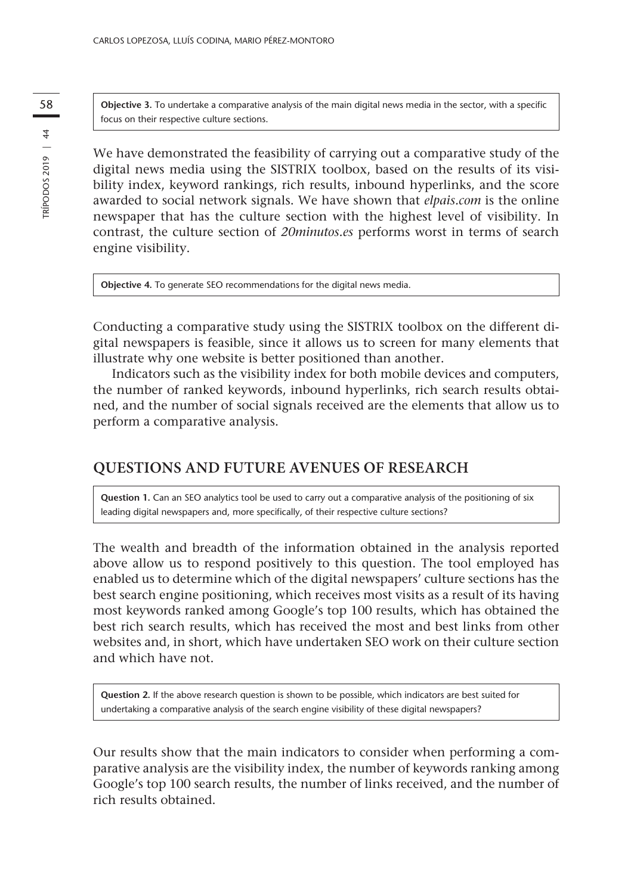58 **Objective 3.** To undertake a comparative analysis of the main digital news media in the sector, with a specific focus on their respective culture sections.

> We have demonstrated the feasibility of carrying out a comparative study of the digital news media using the SISTRIX toolbox, based on the results of its visibility index, keyword rankings, rich results, inbound hyperlinks, and the score awarded to social network signals. We have shown that *elpais.com* is the online newspaper that has the culture section with the highest level of visibility. In contrast, the culture section of *20minutos.es* performs worst in terms of search engine visibility.

**Objective 4.** To generate SEO recommendations for the digital news media.

Conducting a comparative study using the SISTRIX toolbox on the different digital newspapers is feasible, since it allows us to screen for many elements that illustrate why one website is better positioned than another.

Indicators such as the visibility index for both mobile devices and computers, the number of ranked keywords, inbound hyperlinks, rich search results obtained, and the number of social signals received are the elements that allow us to perform a comparative analysis.

### **QUESTIONS AND FUTURE AVENUES OF RESEARCH**

**Question 1.** Can an SEO analytics tool be used to carry out a comparative analysis of the positioning of six leading digital newspapers and, more specifically, of their respective culture sections?

The wealth and breadth of the information obtained in the analysis reported above allow us to respond positively to this question. The tool employed has enabled us to determine which of the digital newspapers' culture sections has the best search engine positioning, which receives most visits as a result of its having most keywords ranked among Google's top 100 results, which has obtained the best rich search results, which has received the most and best links from other websites and, in short, which have undertaken SEO work on their culture section and which have not.

**Question 2.** If the above research question is shown to be possible, which indicators are best suited for undertaking a comparative analysis of the search engine visibility of these digital newspapers?

Our results show that the main indicators to consider when performing a comparative analysis are the visibility index, the number of keywords ranking among Google's top 100 search results, the number of links received, and the number of rich results obtained.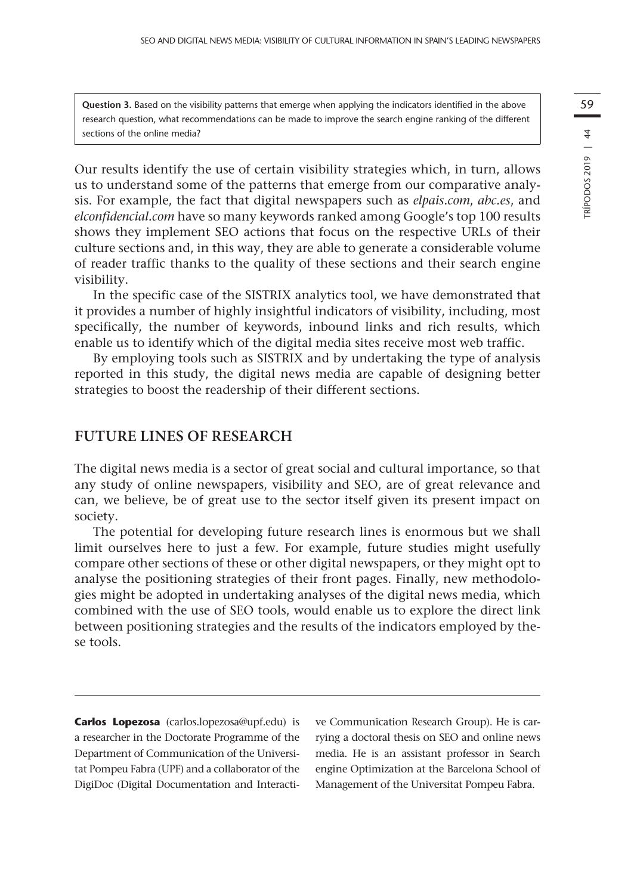**Question 3.** Based on the visibility patterns that emerge when applying the indicators identified in the above research question, what recommendations can be made to improve the search engine ranking of the different sections of the online media?

Our results identify the use of certain visibility strategies which, in turn, allows us to understand some of the patterns that emerge from our comparative analysis. For example, the fact that digital newspapers such as *elpais.com*, *abc.es*, and *elconfidencial.com* have so many keywords ranked among Google's top 100 results shows they implement SEO actions that focus on the respective URLs of their culture sections and, in this way, they are able to generate a considerable volume of reader traffic thanks to the quality of these sections and their search engine visibility.

In the specific case of the SISTRIX analytics tool, we have demonstrated that it provides a number of highly insightful indicators of visibility, including, most specifically, the number of keywords, inbound links and rich results, which enable us to identify which of the digital media sites receive most web traffic.

By employing tools such as SISTRIX and by undertaking the type of analysis reported in this study, the digital news media are capable of designing better strategies to boost the readership of their different sections.

# **FUTURE LINES OF RESEARCH**

The digital news media is a sector of great social and cultural importance, so that any study of online newspapers, visibility and SEO, are of great relevance and can, we believe, be of great use to the sector itself given its present impact on society.

The potential for developing future research lines is enormous but we shall limit ourselves here to just a few. For example, future studies might usefully compare other sections of these or other digital newspapers, or they might opt to analyse the positioning strategies of their front pages. Finally, new methodologies might be adopted in undertaking analyses of the digital news media, which combined with the use of SEO tools, would enable us to explore the direct link between positioning strategies and the results of the indicators employed by these tools.

**Carlos Lopezosa** (carlos.lopezosa@upf.edu) is a researcher in the Doctorate Programme of the Department of Communication of the Universitat Pompeu Fabra (UPF) and a collaborator of the DigiDoc (Digital Documentation and Interactive Communication Research Group). He is carrying a doctoral thesis on SEO and online news media. He is an assistant professor in Search engine Optimization at the Barcelona School of Management of the Universitat Pompeu Fabra.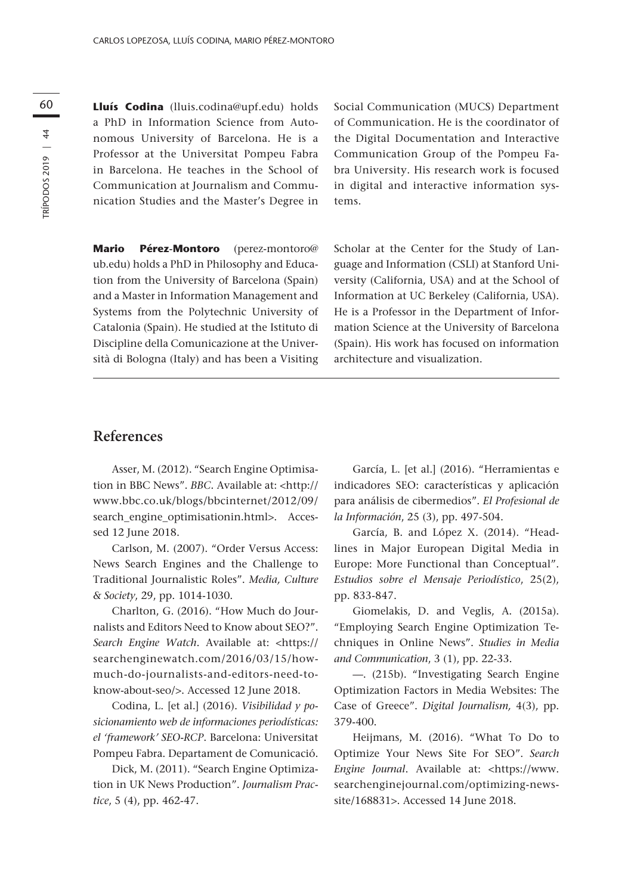60 **Lluís Codina** (lluis.codina@upf.edu) holds a PhD in Information Science from Autonomous University of Barcelona. He is a Professor at the Universitat Pompeu Fabra in Barcelona. He teaches in the School of Communication at Journalism and Communication Studies and the Master's Degree in

> **Mario Pérez-Montoro** (perez-montoro@ ub.edu) holds a PhD in Philosophy and Education from the University of Barcelona (Spain) and a Master in Information Management and Systems from the Polytechnic University of Catalonia (Spain). He studied at the Istituto di Discipline della Comunicazione at the Università di Bologna (Italy) and has been a Visiting

Social Communication (MUCS) Department of Communication. He is the coordinator of the Digital Documentation and Interactive Communication Group of the Pompeu Fabra University. His research work is focused in digital and interactive information systems.

Scholar at the Center for the Study of Language and Information (CSLI) at Stanford University (California, USA) and at the School of Information at UC Berkeley (California, USA). He is a Professor in the Department of Information Science at the University of Barcelona (Spain). His work has focused on information architecture and visualization.

### **References**

Asser, M. (2012). "Search Engine Optimisation in BBC News". *BBC*. Available at: [<http://](http://www.bbc.co.uk/blogs/bbcinternet/2012/09/search_engine_optimisationin.html) [www.bbc.co.uk/blogs/bbcinternet/2012/09/](http://www.bbc.co.uk/blogs/bbcinternet/2012/09/search_engine_optimisationin.html) [search\\_engine\\_optimisationin.html>](http://www.bbc.co.uk/blogs/bbcinternet/2012/09/search_engine_optimisationin.html). Accessed 12 June 2018.

Carlson, M. (2007). "Order Versus Access: News Search Engines and the Challenge to Traditional Journalistic Roles". *Media, Culture & Society*, 29, pp. 1014-1030.

Charlton, G. (2016). "How Much do Journalists and Editors Need to Know about SEO?". *Search Engine Watch*. Available at: *<*[https://](https://searchenginewatch.com/2016/03/15/how-much-do-journalists-and-editors-need-to-know-about-seo/) [searchenginewatch.com/2016/03/15/how](https://searchenginewatch.com/2016/03/15/how-much-do-journalists-and-editors-need-to-know-about-seo/)[much-do-journalists-and-editors-need-to](https://searchenginewatch.com/2016/03/15/how-much-do-journalists-and-editors-need-to-know-about-seo/)[know-about-seo/](https://searchenginewatch.com/2016/03/15/how-much-do-journalists-and-editors-need-to-know-about-seo/)>. Accessed 12 June 2018.

Codina, L. [et al.] (2016). *Visibilidad y posicionamiento web de informaciones periodísticas: el 'framework' SEO-RCP*. Barcelona: Universitat Pompeu Fabra. Departament de Comunicació.

Dick, M. (2011). "Search Engine Optimization in UK News Production". *Journalism Practice*, 5 (4), pp. 462-47.

García, L. [et al.] (2016). "Herramientas e indicadores SEO: características y aplicación para análisis de cibermedios". *El Profesional de la Información*, 25 (3), pp. 497-504.

García, B. and López X. (2014). "Headlines in Major European Digital Media in Europe: More Functional than Conceptual". *Estudios sobre el Mensaje Periodístico*, 25(2), pp. 833-847.

Giomelakis, D. and Veglis, A. (2015a). "Employing Search Engine Optimization Techniques in Online News". *Studies in Media and Communication*, 3 (1), pp. 22-33.

—. (215b). "Investigating Search Engine Optimization Factors in Media Websites: The Case of Greece". *Digital Journalism,* 4(3), pp. 379-400.

Heijmans, M. (2016). "What To Do to Optimize Your News Site For SEO". *Search Engine Journal*. Available at: [<https://www.](https://www.searchenginejournal.com/optimizing-news-site/168831) [searchenginejournal.com/optimizing-news](https://www.searchenginejournal.com/optimizing-news-site/168831)[site/168831](https://www.searchenginejournal.com/optimizing-news-site/168831)>. Accessed 14 June 2018.